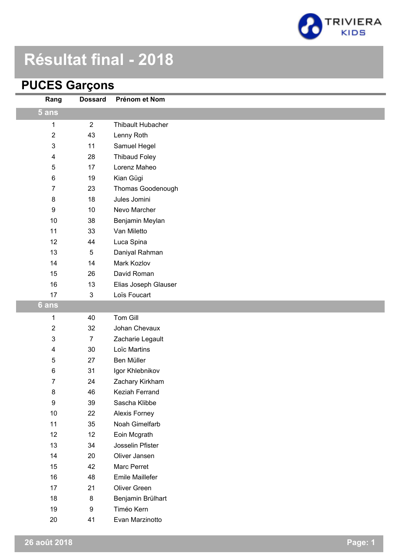

## **Résultat final - 2018**

### **PUCES Garçons**

| Rang                      | <b>Dossard</b> | Prénom et Nom            |
|---------------------------|----------------|--------------------------|
| 5 ans                     |                |                          |
| 1                         | $\overline{2}$ | <b>Thibault Hubacher</b> |
| $\sqrt{2}$                | 43             | Lenny Roth               |
| $\ensuremath{\mathsf{3}}$ | 11             | Samuel Hegel             |
| 4                         | 28             | <b>Thibaud Foley</b>     |
| $\sqrt{5}$                | 17             | Lorenz Maheo             |
| 6                         | 19             | Kian Gügi                |
| $\overline{7}$            | 23             | Thomas Goodenough        |
| $\bf 8$                   | 18             | Jules Jomini             |
| 9                         | 10             | Nevo Marcher             |
| 10                        | 38             | Benjamin Meylan          |
| 11                        | 33             | Van Miletto              |
| 12                        | 44             | Luca Spina               |
| 13                        | 5              | Daniyal Rahman           |
| 14                        | 14             | Mark Kozlov              |
| 15                        | 26             | David Roman              |
| 16                        | 13             | Elias Joseph Glauser     |
| 17                        | 3              | Loïs Foucart             |
| $6$ ans                   |                |                          |
| 1                         | 40             | Tom Gill                 |
| $\boldsymbol{2}$          | 32             | Johan Chevaux            |
| $\ensuremath{\mathsf{3}}$ | $\overline{7}$ | Zacharie Legault         |
| 4                         | 30             | Loïc Martins             |
| $\sqrt{5}$                | 27             | Ben Müller               |
| 6                         | 31             | Igor Khlebnikov          |
| $\overline{7}$            | 24             | Zachary Kirkham          |
| 8                         | 46             | Keziah Ferrand           |
| $\boldsymbol{9}$          | 39             | Sascha Klibbe            |
| $10$                      | 22             | Alexis Forney            |
| 11                        | 35             | Noah Gimelfarb           |
| 12                        | 12             | Eoin Mcgrath             |
| 13                        | 34             | Josselin Pfister         |
| 14                        | 20             | Oliver Jansen            |
| 15                        | 42             | Marc Perret              |
| 16                        | 48             | Emile Maillefer          |
| 17                        | 21             | Oliver Green             |
| 18                        | 8              | Benjamin Brülhart        |
| 19                        | 9              | Timéo Kern               |
| 20                        | 41             | Evan Marzinotto          |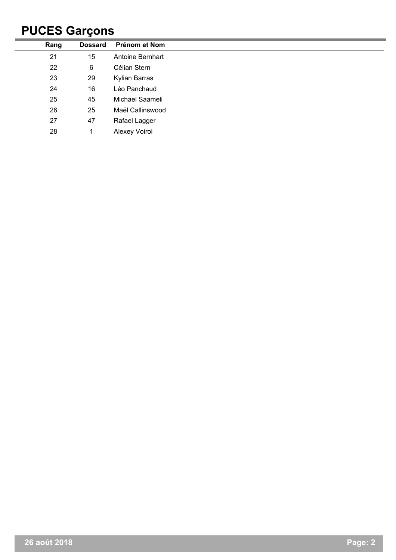## **PUCES Garçons**

| Rang | <b>Dossard</b> | Prénom et Nom    |
|------|----------------|------------------|
| 21   | 15             | Antoine Bernhart |
| 22   | 6              | Célian Stern     |
| 23   | 29             | Kylian Barras    |
| 24   | 16             | Léo Panchaud     |
| 25   | 45             | Michael Saameli  |
| 26   | 25             | Maël Callinswood |
| 27   | 47             | Rafael Lagger    |
| 28   |                | Alexey Voirol    |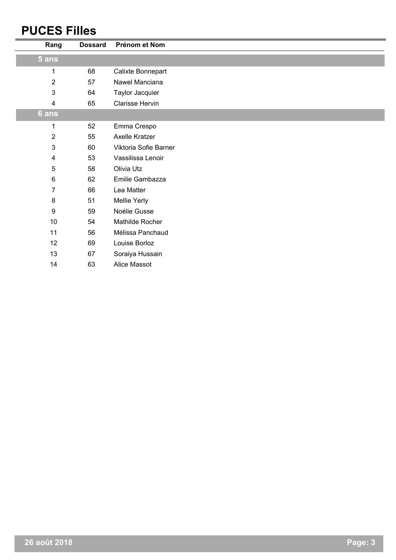#### **PUCES Filles**

| Rang           | <b>Dossard</b> | Prénom et Nom         |
|----------------|----------------|-----------------------|
| 5 ans          |                |                       |
| 1              | 68             | Calixte Bonnepart     |
| $\overline{2}$ | 57             | Nawel Manciana        |
| $\mathfrak{3}$ | 64             | Taylor Jacquier       |
| $\overline{4}$ | 65             | Clarisse Hervin       |
| 6 ans          |                |                       |
| 1              | 52             | Emma Crespo           |
| $\sqrt{2}$     | 55             | Axelle Kratzer        |
| $\mathfrak{3}$ | 60             | Viktoria Sofie Barner |
| 4              | 53             | Vassilissa Lenoir     |
| 5              | 58             | Olivia Utz            |
| $6\phantom{1}$ | 62             | Emilie Gambazza       |
| $\overline{7}$ | 66             | Lea Matter            |
| $\bf 8$        | 51             | Mellie Yerly          |
| 9              | 59             | Noélie Gusse          |
| 10             | 54             | Mathilde Rocher       |
| 11             | 56             | Mélissa Panchaud      |
| 12             | 69             | Louise Borloz         |
| 13             | 67             | Soraiya Hussain       |
| 14             | 63             | Alice Massot          |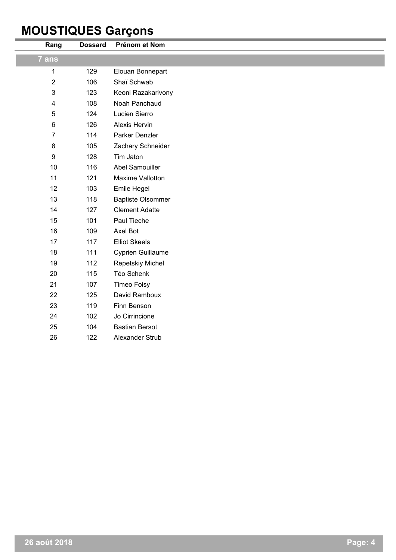## **MOUSTIQUES Garçons**

| Rang                    | <b>Dossard</b> | Prénom et Nom            |  |
|-------------------------|----------------|--------------------------|--|
| 7 ans                   |                |                          |  |
| 1                       | 129            | Elouan Bonnepart         |  |
| $\overline{2}$          | 106            | Shaï Schwab              |  |
| $\mathfrak{S}$          | 123            | Keoni Razakarivony       |  |
| $\overline{\mathbf{4}}$ | 108            | Noah Panchaud            |  |
| $\sqrt{5}$              | 124            | Lucien Sierro            |  |
| 6                       | 126            | Alexis Hervin            |  |
| $\overline{7}$          | 114            | Parker Denzler           |  |
| 8                       | 105            | Zachary Schneider        |  |
| 9                       | 128            | Tim Jaton                |  |
| 10                      | 116            | Abel Samouiller          |  |
| 11                      | 121            | Maxime Vallotton         |  |
| 12                      | 103            | Emile Hegel              |  |
| 13                      | 118            | <b>Baptiste Olsommer</b> |  |
| 14                      | 127            | <b>Clement Adatte</b>    |  |
| 15                      | 101            | Paul Tieche              |  |
| 16                      | 109            | Axel Bot                 |  |
| 17                      | 117            | <b>Elliot Skeels</b>     |  |
| 18                      | 111            | Cyprien Guillaume        |  |
| 19                      | 112            | Repetskiy Michel         |  |
| 20                      | 115            | Téo Schenk               |  |
| 21                      | 107            | <b>Timeo Foisy</b>       |  |
| 22                      | 125            | David Ramboux            |  |
| 23                      | 119            | Finn Benson              |  |
| 24                      | 102            | Jo Cirrincione           |  |
| 25                      | 104            | <b>Bastian Bersot</b>    |  |
| 26                      | 122            | Alexander Strub          |  |
|                         |                |                          |  |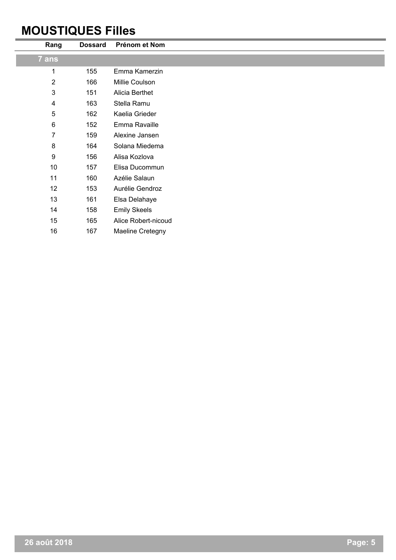#### **MOUSTIQUES Filles**

L.

| Rang                    | <b>Dossard</b> | Prénom et Nom           |
|-------------------------|----------------|-------------------------|
| 7 ans                   |                |                         |
| 1                       | 155            | Emma Kamerzin           |
| $\overline{2}$          | 166            | Millie Coulson          |
| $\mathbf{3}$            | 151            | Alicia Berthet          |
| $\overline{\mathbf{4}}$ | 163            | Stella Ramu             |
| $\sqrt{5}$              | 162            | Kaelia Grieder          |
| $\,6\,$                 | 152            | Emma Ravaille           |
| 7                       | 159            | Alexine Jansen          |
| $\bf 8$                 | 164            | Solana Miedema          |
| 9                       | 156            | Alisa Kozlova           |
| 10                      | 157            | Elisa Ducommun          |
| 11                      | 160            | Azélie Salaun           |
| 12                      | 153            | Aurélie Gendroz         |
| 13                      | 161            | Elsa Delahaye           |
| 14                      | 158            | <b>Emily Skeels</b>     |
| 15                      | 165            | Alice Robert-nicoud     |
| 16                      | 167            | <b>Maeline Cretegny</b> |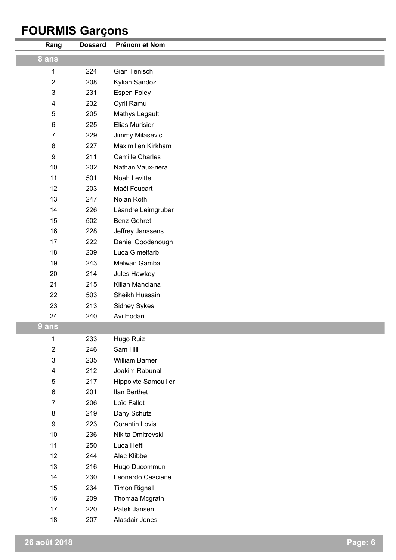## **FOURMIS Garçons**

| Rang                    | <b>Dossard</b> | Prénom et Nom          |
|-------------------------|----------------|------------------------|
| 8 ans                   |                |                        |
| 1                       | 224            | Gian Tenisch           |
| $\overline{2}$          | 208            | Kylian Sandoz          |
| 3                       | 231            | Espen Foley            |
| 4                       | 232            | Cyril Ramu             |
| 5                       | 205            | Mathys Legault         |
| $\,6$                   | 225            | Elias Murisier         |
| $\overline{7}$          | 229            | Jimmy Milasevic        |
| $\bf 8$                 | 227            | Maximilien Kirkham     |
| $\boldsymbol{9}$        | 211            | <b>Camille Charles</b> |
| 10                      | 202            | Nathan Vaux-riera      |
| 11                      | 501            | Noah Levitte           |
| 12                      | 203            | Maël Foucart           |
| 13                      | 247            | Nolan Roth             |
| 14                      | 226            | Léandre Leimgruber     |
| 15                      | 502            | <b>Benz Gehret</b>     |
| 16                      | 228            | Jeffrey Janssens       |
| 17                      | 222            | Daniel Goodenough      |
| 18                      | 239            | Luca Gimelfarb         |
| 19                      | 243            | Melwan Gamba           |
| 20                      | 214            | Jules Hawkey           |
| 21                      | 215            | Kilian Manciana        |
| 22                      | 503            | Sheikh Hussain         |
| 23                      | 213            | Sidney Sykes           |
| 24                      | 240            | Avi Hodari             |
| 9 ans                   |                |                        |
| 1                       | 233            | Hugo Ruiz              |
| $\overline{\mathbf{c}}$ | 246            | Sam Hill               |
| 3                       | 235            | William Barner         |
| 4                       | 212            | Joakim Rabunal         |
| 5                       | 217            | Hippolyte Samouiller   |
| $\,6$                   | 201            | Ilan Berthet           |
| 7                       | 206            | Loïc Fallot            |
| 8                       | 219            | Dany Schütz            |
| $\boldsymbol{9}$        | 223            | Corantin Lovis         |
| 10                      | 236            | Nikita Dmitrevski      |
| 11                      | 250            | Luca Hefti             |
| 12                      | 244            | Alec Klibbe            |
| 13                      | 216            | Hugo Ducommun          |
| 14                      | 230            | Leonardo Casciana      |
| 15                      | 234            | <b>Timon Rignall</b>   |
| 16                      | 209            | Thomaa Mcgrath         |
| 17                      | 220            | Patek Jansen           |
| 18                      | 207            | Alasdair Jones         |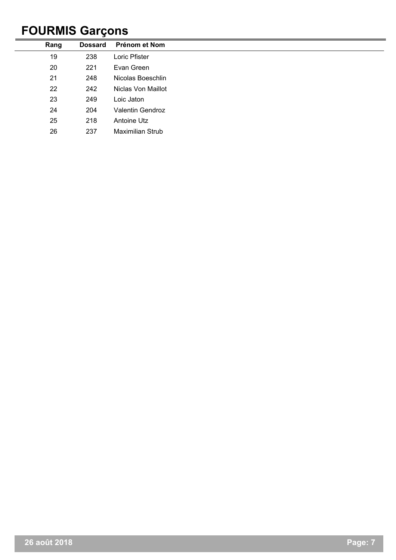## **FOURMIS Garçons**

| Rang | <b>Dossard</b> | Prénom et Nom           |
|------|----------------|-------------------------|
| 19   | 238            | Loric Pfister           |
| 20   | 221            | Evan Green              |
| 21   | 248            | Nicolas Boeschlin       |
| 22   | 242            | Niclas Von Maillot      |
| 23   | 249            | Loic Jaton              |
| 24   | 204            | <b>Valentin Gendroz</b> |
| 25   | 218            | Antoine Utz             |
| 26   | 237            | <b>Maximilian Strub</b> |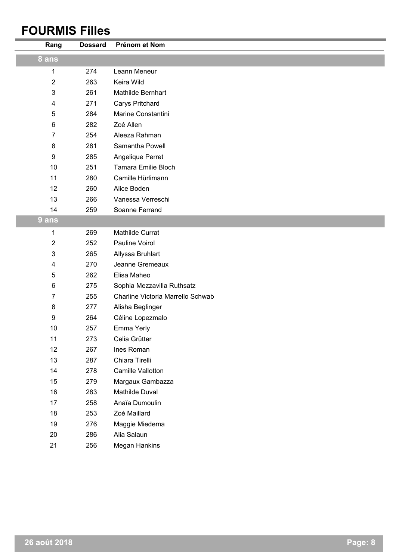#### **FOURMIS Filles**

| Rang             | <b>Dossard</b> | Prénom et Nom                     |
|------------------|----------------|-----------------------------------|
| 8 ans            |                |                                   |
| 1                | 274            | Leann Meneur                      |
| $\overline{2}$   | 263            | Keira Wild                        |
| 3                | 261            | Mathilde Bernhart                 |
| 4                | 271            | Carys Pritchard                   |
| 5                | 284            | Marine Constantini                |
| $\,6\,$          | 282            | Zoé Allen                         |
| 7                | 254            | Aleeza Rahman                     |
| 8                | 281            | Samantha Powell                   |
| $\boldsymbol{9}$ | 285            | Angelique Perret                  |
| 10               | 251            | <b>Tamara Emilie Bloch</b>        |
| 11               | 280            | Camille Hürlimann                 |
| 12               | 260            | Alice Boden                       |
| 13               | 266            | Vanessa Verreschi                 |
| 14               | 259            | Soanne Ferrand                    |
| 9 ans            |                |                                   |
| 1                | 269            | Mathilde Currat                   |
| $\sqrt{2}$       | 252            | Pauline Voirol                    |
| 3                | 265            | Allyssa Bruhlart                  |
| 4                | 270            | Jeanne Gremeaux                   |
| 5                | 262            | Elisa Maheo                       |
| $\,6$            | 275            | Sophia Mezzavilla Ruthsatz        |
| 7                | 255            | Charline Victoria Marrello Schwab |
| $\bf 8$          | 277            | Alisha Beglinger                  |
| $\boldsymbol{9}$ | 264            | Céline Lopezmalo                  |
| $10$             | 257            | Emma Yerly                        |
| 11               | 273            | Celia Grütter                     |
| 12               | 267            | Ines Roman                        |
| 13               | 287            | Chiara Tirelli                    |
| 14               | 278            | Camille Vallotton                 |
| 15               | 279            | Margaux Gambazza                  |
| 16               | 283            | Mathilde Duval                    |
| 17               | 258            | Anaïa Dumoulin                    |
| 18               | 253            | Zoé Maillard                      |
| 19               | 276            | Maggie Miedema                    |
| 20               | 286            | Alia Salaun                       |
| 21               | 256            | Megan Hankins                     |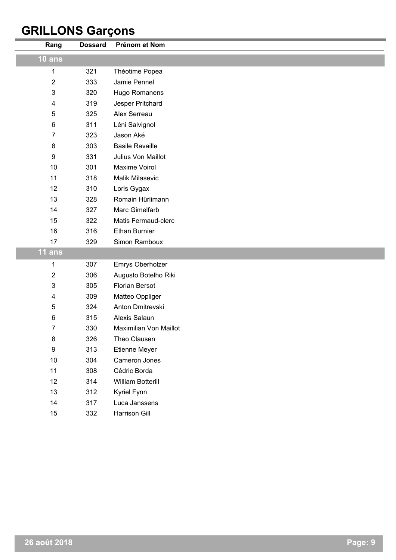## **GRILLONS Garçons**

| Rang        | <b>Dossard</b> | Prénom et Nom          |
|-------------|----------------|------------------------|
| $10$ ans    |                |                        |
| 1           | 321            | Théotime Popea         |
| 2           | 333            | Jamie Pennel           |
| 3           | 320            | Hugo Romanens          |
| 4           | 319            | Jesper Pritchard       |
| 5           | 325            | Alex Serreau           |
| 6           | 311            | Léni Salvignol         |
| 7           | 323            | Jason Aké              |
| 8           | 303            | <b>Basile Ravaille</b> |
| 9           | 331            | Julius Von Maillot     |
| 10          | 301            | <b>Maxime Voirol</b>   |
| 11          | 318            | Malik Milasevic        |
| 12          | 310            | Loris Gygax            |
| 13          | 328            | Romain Hürlimann       |
| 14          | 327            | Marc Gimelfarb         |
| 15          | 322            | Matis Fermaud-clerc    |
| 16          | 316            | <b>Ethan Burnier</b>   |
| 17          | 329            | Simon Ramboux          |
| 11 ans      |                |                        |
| 1           | 307            | Emrys Oberholzer       |
| $\mathbf 2$ | 306            | Augusto Botelho Riki   |
| 3           | 305            | <b>Florian Bersot</b>  |
| 4           | 309            | Matteo Oppliger        |
| 5           | 324            | Anton Dmitrevski       |
| 6           | 315            | Alexis Salaun          |
| 7           | 330            | Maximilian Von Maillot |
| 8           | 326            | Theo Clausen           |
| 9           | 313            | Etienne Meyer          |
| 10          | 304            | Cameron Jones          |
| 11          | 308            | Cédric Borda           |
| 12          | 314            | William Botterill      |
| 13          | 312            | Kyriel Fynn            |
| 14          | 317            | Luca Janssens          |
| 15          | 332            | Harrison Gill          |
|             |                |                        |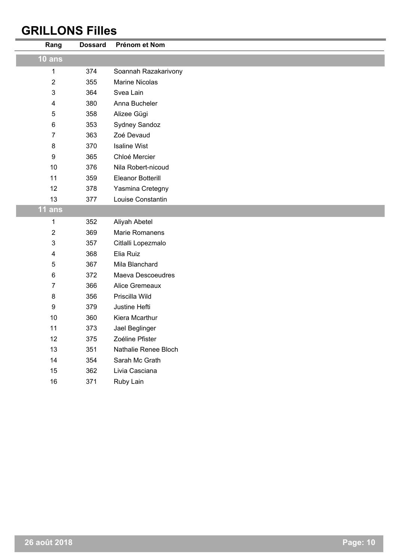### **GRILLONS Filles**

| Rang                      | <b>Dossard</b> | Prénom et Nom         |
|---------------------------|----------------|-----------------------|
| <b>10 ans</b>             |                |                       |
| 1                         | 374            | Soannah Razakarivony  |
| $\overline{2}$            | 355            | <b>Marine Nicolas</b> |
| $\ensuremath{\mathsf{3}}$ | 364            | Svea Lain             |
| $\overline{\mathbf{4}}$   | 380            | Anna Bucheler         |
| 5                         | 358            | Alizee Gügi           |
| $\,6$                     | 353            | Sydney Sandoz         |
| $\overline{7}$            | 363            | Zoé Devaud            |
| $\bf 8$                   | 370            | <b>Isaline Wist</b>   |
| $\boldsymbol{9}$          | 365            | Chloé Mercier         |
| 10                        | 376            | Nila Robert-nicoud    |
| 11                        | 359            | Eleanor Botterill     |
| 12                        | 378            | Yasmina Cretegny      |
| 13                        | 377            | Louise Constantin     |
| 11 ans                    |                |                       |
| 1                         | 352            | Aliyah Abetel         |
| 2                         | 369            | <b>Marie Romanens</b> |
| $\mathbf 3$               | 357            | Citlalli Lopezmalo    |
| 4                         | 368            | Elia Ruiz             |
| 5                         | 367            | Mila Blanchard        |
| 6                         | 372            | Maeva Descoeudres     |
| $\overline{7}$            | 366            | Alice Gremeaux        |
| 8                         | 356            | Priscilla Wild        |
| $\boldsymbol{9}$          | 379            | Justine Hefti         |
| 10                        | 360            | Kiera Mcarthur        |
| 11                        | 373            | Jael Beglinger        |
| 12                        | 375            | Zoéline Pfister       |
| 13                        | 351            | Nathalie Renee Bloch  |
| 14                        | 354            | Sarah Mc Grath        |
| 15                        | 362            | Livia Casciana        |
| 16                        | 371            | Ruby Lain             |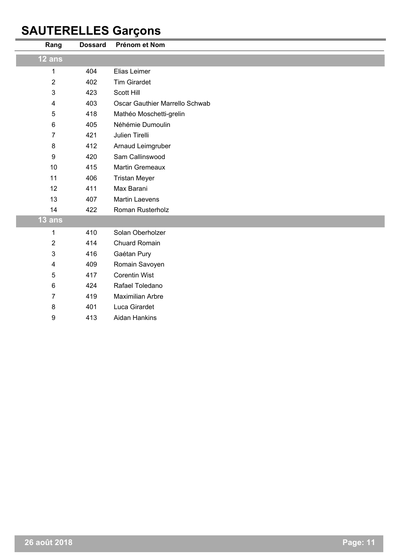# **SAUTERELLES Garçons**

| Rang                    | <b>Dossard</b> | Prénom et Nom                  |
|-------------------------|----------------|--------------------------------|
| $12$ ans                |                |                                |
| 1                       | 404            | Elias Leimer                   |
| 2                       | 402            | <b>Tim Girardet</b>            |
| 3                       | 423            | <b>Scott Hill</b>              |
| $\overline{\mathbf{4}}$ | 403            | Oscar Gauthier Marrello Schwab |
| 5                       | 418            | Mathéo Moschetti-grelin        |
| 6                       | 405            | Néhémie Dumoulin               |
| 7                       | 421            | Julien Tirelli                 |
| 8                       | 412            | Arnaud Leimgruber              |
| 9                       | 420            | Sam Callinswood                |
| 10                      | 415            | <b>Martin Gremeaux</b>         |
| 11                      | 406            | <b>Tristan Meyer</b>           |
| 12                      | 411            | Max Barani                     |
| 13                      | 407            | <b>Martin Laevens</b>          |
| 14                      | 422            | Roman Rusterholz               |
| $13$ ans                |                |                                |
| 1                       | 410            | Solan Oberholzer               |
| $\overline{2}$          | 414            | Chuard Romain                  |
| 3                       | 416            | Gaétan Pury                    |
| 4                       | 409            | Romain Savoyen                 |
| 5                       | 417            | <b>Corentin Wist</b>           |
| 6                       | 424            | Rafael Toledano                |
| $\overline{7}$          | 419            | <b>Maximilian Arbre</b>        |
| 8                       | 401            | Luca Girardet                  |
| 9                       | 413            | <b>Aidan Hankins</b>           |